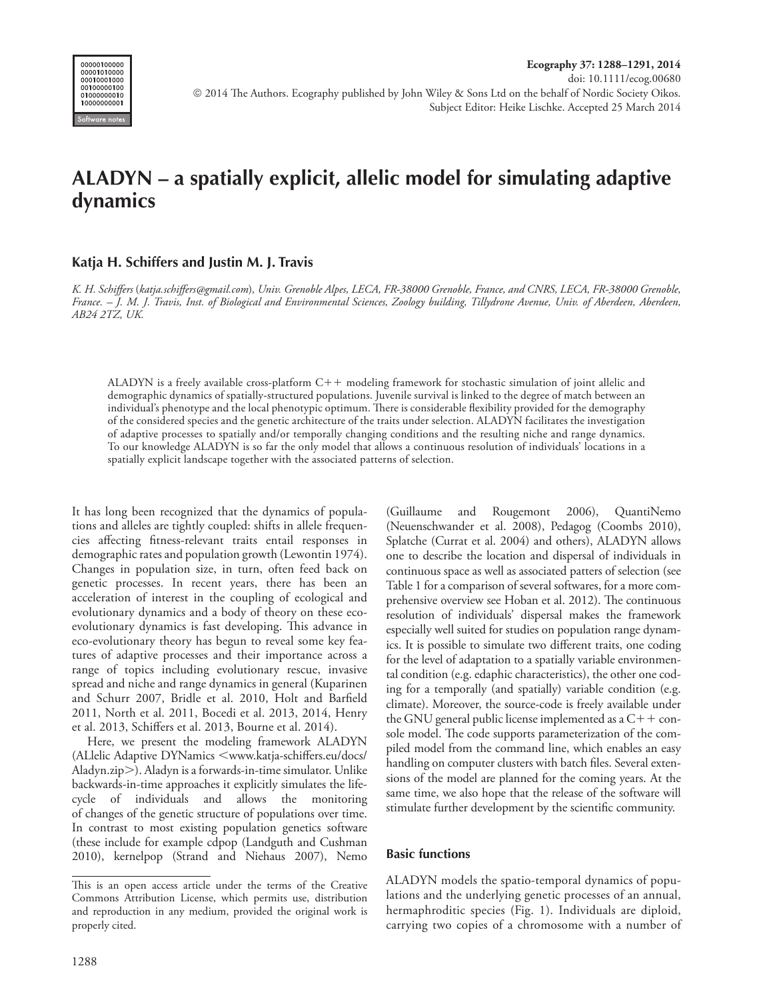

# **ALADYN – a spatially explicit, allelic model for simulating adaptive dynamics**

## **Katja H. Schiffers and Justin M. J. Travis**

*K. H. Schiffers* (*katja.schiffers@gmail.com*)*, Univ. Grenoble Alpes, LECA, FR-38000 Grenoble, France, and CNRS, LECA, FR-38000 Grenoble, France. – J. M. J. Travis, Inst. of Biological and Environmental Sciences, Zoology building, Tillydrone Avenue, Univ. of Aberdeen, Aberdeen, AB24 2TZ, UK.*

ALADYN is a freely available cross-platform  $C++$  modeling framework for stochastic simulation of joint allelic and demographic dynamics of spatially-structured populations. Juvenile survival is linked to the degree of match between an individual's phenotype and the local phenotypic optimum. There is considerable flexibility provided for the demography of the considered species and the genetic architecture of the traits under selection. ALADYN facilitates the investigation of adaptive processes to spatially and/or temporally changing conditions and the resulting niche and range dynamics. To our knowledge ALADYN is so far the only model that allows a continuous resolution of individuals' locations in a spatially explicit landscape together with the associated patterns of selection.

It has long been recognized that the dynamics of populations and alleles are tightly coupled: shifts in allele frequencies affecting fitness-relevant traits entail responses in demographic rates and population growth (Lewontin 1974). Changes in population size, in turn, often feed back on genetic processes. In recent years, there has been an acceleration of interest in the coupling of ecological and evolutionary dynamics and a body of theory on these ecoevolutionary dynamics is fast developing. This advance in eco-evolutionary theory has begun to reveal some key features of adaptive processes and their importance across a range of topics including evolutionary rescue, invasive spread and niche and range dynamics in general (Kuparinen and Schurr 2007, Bridle et al. 2010, Holt and Barfield 2011, North et al. 2011, Bocedi et al. 2013, 2014, Henry et al. 2013, Schiffers et al. 2013, Bourne et al. 2014).

Here, we present the modeling framework ALADYN (ALlelic Adaptive DYNamics <www.katja-schiffers.eu/docs/ Aladyn.zip). Aladyn is a forwards-in-time simulator. Unlike backwards-in-time approaches it explicitly simulates the lifecycle of individuals and allows the monitoring of changes of the genetic structure of populations over time. In contrast to most existing population genetics software (these include for example cdpop (Landguth and Cushman 2010), kernelpop (Strand and Niehaus 2007), Nemo (Guillaume and Rougemont 2006), QuantiNemo (Neuenschwander et al. 2008), Pedagog (Coombs 2010), Splatche (Currat et al. 2004) and others), ALADYN allows one to describe the location and dispersal of individuals in continuous space as well as associated patters of selection (see Table 1 for a comparison of several softwares, for a more comprehensive overview see Hoban et al. 2012). The continuous resolution of individuals' dispersal makes the framework especially well suited for studies on population range dynamics. It is possible to simulate two different traits, one coding for the level of adaptation to a spatially variable environmental condition (e.g. edaphic characteristics), the other one coding for a temporally (and spatially) variable condition (e.g. climate). Moreover, the source-code is freely available under the GNU general public license implemented as a  $C++$  console model. The code supports parameterization of the compiled model from the command line, which enables an easy handling on computer clusters with batch files. Several extensions of the model are planned for the coming years. At the same time, we also hope that the release of the software will stimulate further development by the scientific community.

#### **Basic functions**

ALADYN models the spatio-temporal dynamics of populations and the underlying genetic processes of an annual, hermaphroditic species (Fig. 1). Individuals are diploid, carrying two copies of a chromosome with a number of

This is an open access article under the terms of the Creative Commons Attribution License, which permits use, distribution and reproduction in any medium, provided the original work is properly cited.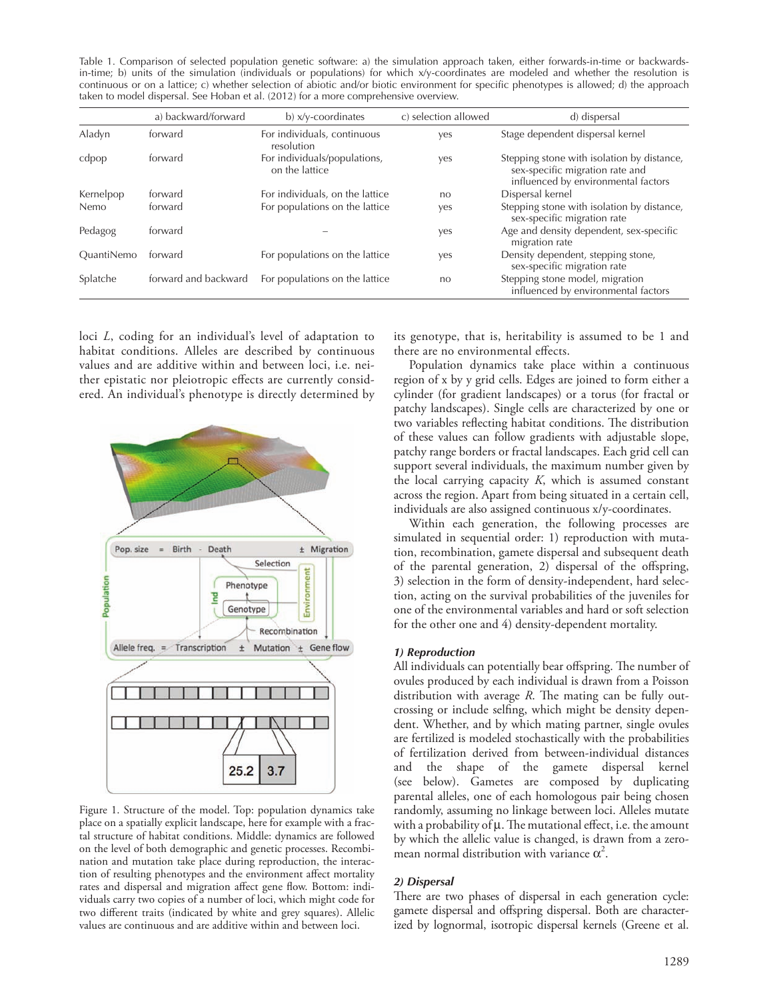Table 1. Comparison of selected population genetic software: a) the simulation approach taken, either forwards-in-time or backwardsin-time; b) units of the simulation (individuals or populations) for which x/y-coordinates are modeled and whether the resolution is continuous or on a lattice; c) whether selection of abiotic and/or biotic environment for specific phenotypes is allowed; d) the approach taken to model dispersal. See Hoban et al. (2012) for a more comprehensive overview.

|                   | a) backward/forward  | $b)$ x/y-coordinates                           | c) selection allowed | d) dispersal                                                                                                         |
|-------------------|----------------------|------------------------------------------------|----------------------|----------------------------------------------------------------------------------------------------------------------|
| Aladyn            | forward              | For individuals, continuous<br>resolution      | ves                  | Stage dependent dispersal kernel                                                                                     |
| cdpop             | forward              | For individuals/populations,<br>on the lattice | yes                  | Stepping stone with isolation by distance,<br>sex-specific migration rate and<br>influenced by environmental factors |
| Kernelpop         | forward              | For individuals, on the lattice                | n <sub>O</sub>       | Dispersal kernel                                                                                                     |
| Nemo              | forward              | For populations on the lattice                 | ves                  | Stepping stone with isolation by distance,<br>sex-specific migration rate                                            |
| Pedagog           | forward              |                                                | ves                  | Age and density dependent, sex-specific<br>migration rate                                                            |
| <b>OuantiNemo</b> | forward              | For populations on the lattice                 | ves                  | Density dependent, stepping stone,<br>sex-specific migration rate                                                    |
| Splatche          | forward and backward | For populations on the lattice                 | n <sub>O</sub>       | Stepping stone model, migration<br>influenced by environmental factors                                               |

loci *L*, coding for an individual's level of adaptation to habitat conditions. Alleles are described by continuous values and are additive within and between loci, i.e. neither epistatic nor pleiotropic effects are currently considered. An individual's phenotype is directly determined by



Figure 1. Structure of the model. Top: population dynamics take place on a spatially explicit landscape, here for example with a fractal structure of habitat conditions. Middle: dynamics are followed on the level of both demographic and genetic processes. Recombination and mutation take place during reproduction, the interaction of resulting phenotypes and the environment affect mortality rates and dispersal and migration affect gene flow. Bottom: individuals carry two copies of a number of loci, which might code for two different traits (indicated by white and grey squares). Allelic values are continuous and are additive within and between loci.

its genotype, that is, heritability is assumed to be 1 and there are no environmental effects.

Population dynamics take place within a continuous region of x by y grid cells. Edges are joined to form either a cylinder (for gradient landscapes) or a torus (for fractal or patchy landscapes). Single cells are characterized by one or two variables reflecting habitat conditions. The distribution of these values can follow gradients with adjustable slope, patchy range borders or fractal landscapes. Each grid cell can support several individuals, the maximum number given by the local carrying capacity *K*, which is assumed constant across the region. Apart from being situated in a certain cell, individuals are also assigned continuous x/y-coordinates.

Within each generation, the following processes are simulated in sequential order: 1) reproduction with mutation, recombination, gamete dispersal and subsequent death of the parental generation, 2) dispersal of the offspring, 3) selection in the form of density-independent, hard selection, acting on the survival probabilities of the juveniles for one of the environmental variables and hard or soft selection for the other one and 4) density-dependent mortality.

#### *1) Reproduction*

All individuals can potentially bear offspring. The number of ovules produced by each individual is drawn from a Poisson distribution with average *R*. The mating can be fully outcrossing or include selfing, which might be density dependent. Whether, and by which mating partner, single ovules are fertilized is modeled stochastically with the probabilities of fertilization derived from between-individual distances and the shape of the gamete dispersal kernel (see below). Gametes are composed by duplicating parental alleles, one of each homologous pair being chosen randomly, assuming no linkage between loci. Alleles mutate with a probability of  $\mu$ . The mutational effect, i.e. the amount by which the allelic value is changed, is drawn from a zeromean normal distribution with variance  $\alpha^2$ .

#### *2) Dispersal*

There are two phases of dispersal in each generation cycle: gamete dispersal and offspring dispersal. Both are characterized by lognormal, isotropic dispersal kernels (Greene et al.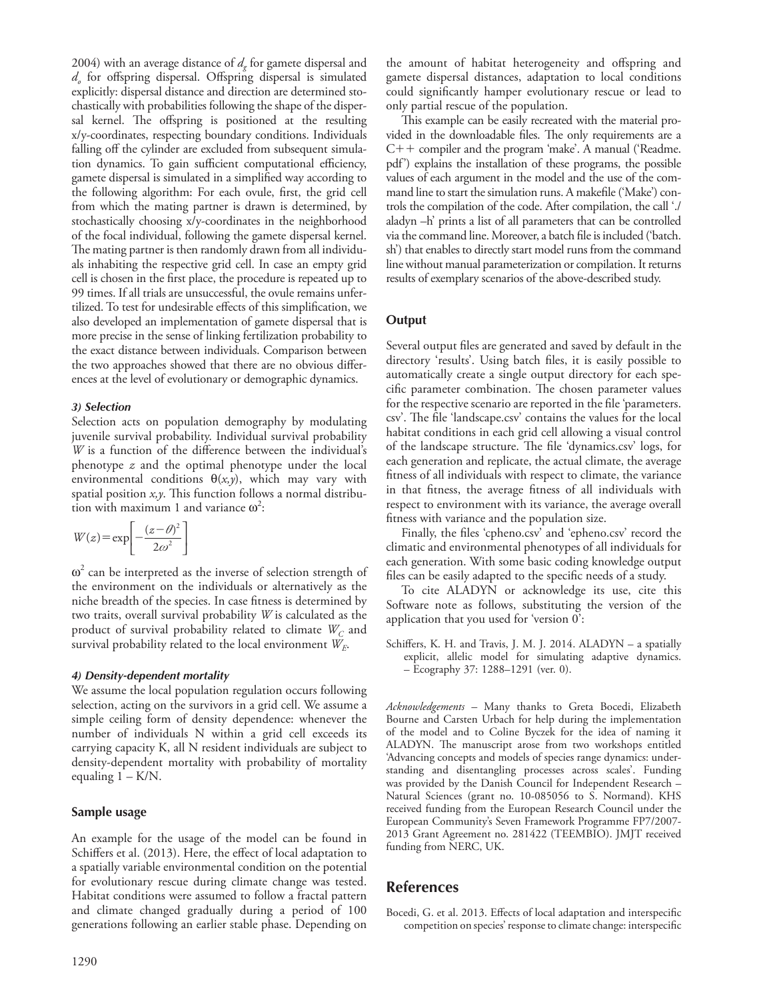2004) with an average distance of  $d_g$  for gamete dispersal and *do* for offspring dispersal. Offspring dispersal is simulated explicitly: dispersal distance and direction are determined stochastically with probabilities following the shape of the dispersal kernel. The offspring is positioned at the resulting x/y-coordinates, respecting boundary conditions. Individuals falling off the cylinder are excluded from subsequent simulation dynamics. To gain sufficient computational efficiency, gamete dispersal is simulated in a simplified way according to the following algorithm: For each ovule, first, the grid cell from which the mating partner is drawn is determined, by stochastically choosing x/y-coordinates in the neighborhood of the focal individual, following the gamete dispersal kernel. The mating partner is then randomly drawn from all individuals inhabiting the respective grid cell. In case an empty grid cell is chosen in the first place, the procedure is repeated up to 99 times. If all trials are unsuccessful, the ovule remains unfertilized. To test for undesirable effects of this simplification, we also developed an implementation of gamete dispersal that is more precise in the sense of linking fertilization probability to the exact distance between individuals. Comparison between the two approaches showed that there are no obvious differences at the level of evolutionary or demographic dynamics.

#### *3) Selection*

Selection acts on population demography by modulating juvenile survival probability. Individual survival probability *W* is a function of the difference between the individual's phenotype *z* and the optimal phenotype under the local environmental conditions  $\theta(x, y)$ , which may vary with spatial position *x,y*. This function follows a normal distribution with maximum 1 and variance  $\omega^2$ :

$$
W(z) = \exp\left[-\frac{(z-\theta)^2}{2\omega^2}\right]
$$

 $\omega^2$  can be interpreted as the inverse of selection strength of the environment on the individuals or alternatively as the niche breadth of the species. In case fitness is determined by two traits, overall survival probability *W* is calculated as the product of survival probability related to climate  $W_C$  and survival probability related to the local environment *WE*.

#### *4) Density-dependent mortality*

We assume the local population regulation occurs following selection, acting on the survivors in a grid cell. We assume a simple ceiling form of density dependence: whenever the number of individuals N within a grid cell exceeds its carrying capacity K, all N resident individuals are subject to density-dependent mortality with probability of mortality equaling  $1 - K/N$ .

#### **Sample usage**

An example for the usage of the model can be found in Schiffers et al. (2013). Here, the effect of local adaptation to a spatially variable environmental condition on the potential for evolutionary rescue during climate change was tested. Habitat conditions were assumed to follow a fractal pattern and climate changed gradually during a period of 100 generations following an earlier stable phase. Depending on the amount of habitat heterogeneity and offspring and gamete dispersal distances, adaptation to local conditions could significantly hamper evolutionary rescue or lead to only partial rescue of the population.

This example can be easily recreated with the material provided in the downloadable files. The only requirements are a  $C++$  compiler and the program 'make'. A manual ('Readme. pdf') explains the installation of these programs, the possible values of each argument in the model and the use of the command line to start the simulation runs. A makefile ('Make') controls the compilation of the code. After compilation, the call './ aladyn –h' prints a list of all parameters that can be controlled via the command line. Moreover, a batch file is included ('batch. sh') that enables to directly start model runs from the command line without manual parameterization or compilation. It returns results of exemplary scenarios of the above-described study.

### **Output**

Several output files are generated and saved by default in the directory 'results'. Using batch files, it is easily possible to automatically create a single output directory for each specific parameter combination. The chosen parameter values for the respective scenario are reported in the file 'parameters. csv'. The file 'landscape.csv' contains the values for the local habitat conditions in each grid cell allowing a visual control of the landscape structure. The file 'dynamics.csv' logs, for each generation and replicate, the actual climate, the average fitness of all individuals with respect to climate, the variance in that fitness, the average fitness of all individuals with respect to environment with its variance, the average overall fitness with variance and the population size.

Finally, the files 'cpheno.csv' and 'epheno.csv' record the climatic and environmental phenotypes of all individuals for each generation. With some basic coding knowledge output files can be easily adapted to the specific needs of a study.

To cite ALADYN or acknowledge its use, cite this Software note as follows, substituting the version of the application that you used for 'version 0':

Schiffers, K. H. and Travis, J. M. J. 2014. ALADYN – a spatially explicit, allelic model for simulating adaptive dynamics. – Ecography 37: 1288–1291 (ver. 0).

*Acknowledgements –* Many thanks to Greta Bocedi, Elizabeth Bourne and Carsten Urbach for help during the implementation of the model and to Coline Byczek for the idea of naming it ALADYN. The manuscript arose from two workshops entitled 'Advancing concepts and models of species range dynamics: understanding and disentangling processes across scales'. Funding was provided by the Danish Council for Independent Research – Natural Sciences (grant no. 10-085056 to S. Normand). KHS received funding from the European Research Council under the European Community's Seven Framework Programme FP7/2007- 2013 Grant Agreement no. 281422 (TEEMBIO). JMJT received funding from NERC, UK.

## **References**

Bocedi, G. et al. 2013. Effects of local adaptation and interspecific competition on species' response to climate change: interspecific